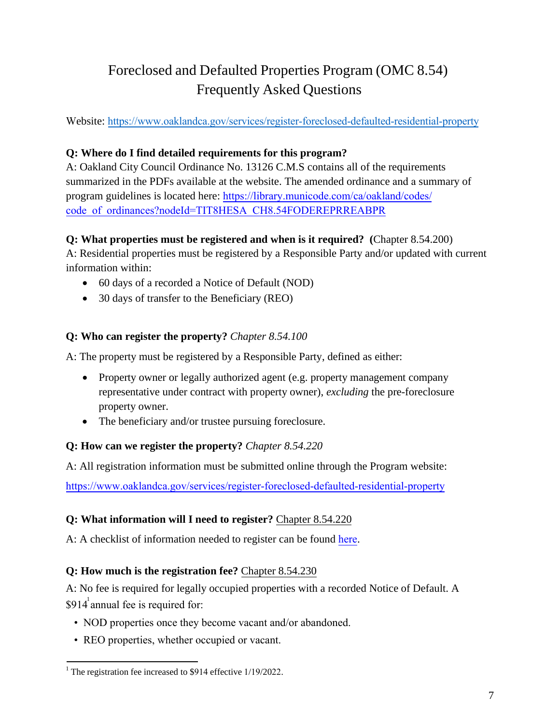# Foreclosed and Defaulted Properties Program (OMC 8.54) Frequently Asked Questions

Website: https:/[/www.oaklandca.gov/services/registe](http://www.oaklandca.gov/foreclosure)r-foreclosed-defaulted-residential-property

## **Q: Where do I find detailed requirements for this program?**

A: Oakland City Council Ordinance No. 13126 C.M.S contains all of the requirements summarized in the PDFs available at the website. The amended ordinance and a summary of [program guidelines is located here:](http://www.oaklandca.gov/w/OAK037695.) https://library.municode.com/ca/oakland/codes/ [code\\_of\\_ordinances?nodeId=TIT8HESA\\_CH8.54FODEREPRREABPR](https://library.municode.com/ca/oakland/codes/code_of_ordinances?nodeId=TIT8HESA_CH8.54FODEREPRREABPR)

## **Q: What properties must be registered and when is it required? (**Chapter 8.54.200)

A: Residential properties must be registered by a Responsible Party and/or updated with current information within:

- 60 days of a recorded a Notice of Default (NOD)
- 30 days of transfer to the Beneficiary (REO)

# **Q: Who can register the property?** *Chapter 8.54.100*

A: The property must be registered by a Responsible Party, defined as either:

- Property owner or legally authorized agent (e.g. property management company representative under contract with property owner), *excluding* the pre-foreclosure property owner.
- The beneficiary and/or trustee pursuing foreclosure.

## **Q: How can we register the property?** *Chapter 8.54.220*

A: All registration information must be submitted online through the Program website:

<https://www.oaklandca.gov/services/register-foreclosed-defaulted-residential-property>

## **Q: What information will I need to register?** Chapter 8.54.220

A: A checklist of information needed to register can be found [here](https://www.oaklandca.gov/documents/registration-checklist-for-investor-owned-residential-property-rehabilitation-program).

## **Q: How much is the registration fee?** Chapter 8.54.230

A: No fee is required for legally occupied properties with a recorded Notice of Default. A \$914 $^1$  annual fee is required for:

- NOD properties once they become vacant and/or abandoned.
- REO properties, whether occupied or vacant.

<sup>&</sup>lt;sup>1</sup> The registration fee increased to \$914 effective  $1/19/2022$ .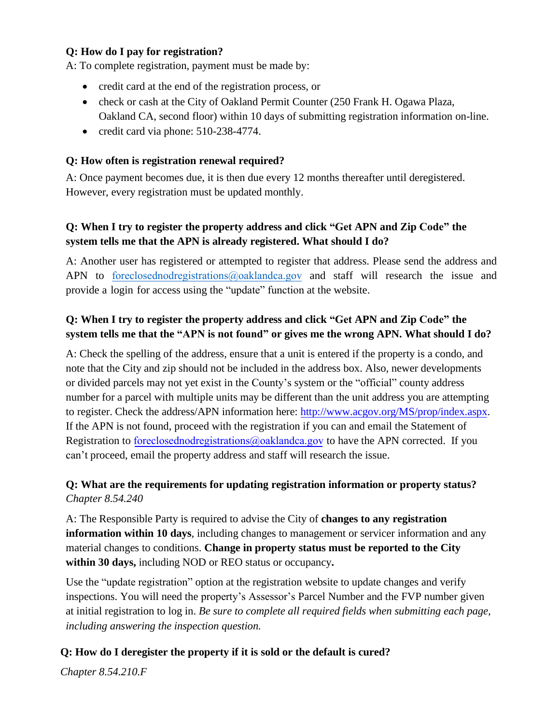#### **Q: How do I pay for registration?**

A: To complete registration, payment must be made by:

- credit card at the end of the registration process, or
- check or cash at the City of Oakland Permit Counter (250 Frank H. Ogawa Plaza, Oakland CA, second floor) within 10 days of submitting registration information on-line.
- credit card via phone: 510-238-4774.

#### **Q: How often is registration renewal required?**

A: Once payment becomes due, it is then due every 12 months thereafter until deregistered. However, every registration must be updated monthly.

## **Q: When I try to register the property address and click "Get APN and Zip Code" the system tells me that the APN is already registered. What should I do?**

A: Another user has registered or attempted to register that address. Please send the address and APN to [foreclosednodregistrations@oaklandca.gov](mailto:foreclosednodregistrations@oaklandca.gov) and staff will research the issue and provide a login for access using the "update" function at the website.

## **Q: When I try to register the property address and click "Get APN and Zip Code" the system tells me that the "APN is not found" or gives me the wrong APN. What should I do?**

A: Check the spelling of the address, ensure that a unit is entered if the property is a condo, and note that the City and zip should not be included in the address box. Also, newer developments or divided parcels may not yet exist in the County's system or the "official" county address number for a parcel with multiple units may be different than the unit address you are attempting to register. Check the address/APN information here: [http://www.acgov.org/MS/prop/index.aspx.](http://www.acgov.org/MS/prop/index.aspx) If the APN is not found, proceed with the registration if you can and email the Statement of Registration to [foreclosednodregistrations@oaklandca.gov](mailto:foreclosednodregistrations@oaklandca.gov) to have the APN corrected. If you can't proceed, email the property address and staff will research the issue.

## **Q: What are the requirements for updating registration information or property status?** *Chapter 8.54.240*

A: The Responsible Party is required to advise the City of **changes to any registration information within 10 days**, including changes to management or servicer information and any material changes to conditions. **Change in property status must be reported to the City within 30 days,** including NOD or REO status or occupancy**.**

Use the "update registration" option at the registration website to update changes and verify inspections. You will need the property's Assessor's Parcel Number and the FVP number given at initial registration to log in. *Be sure to complete all required fields when submitting each page, including answering the inspection question.*

## **Q: How do I deregister the property if it is sold or the default is cured?**

*Chapter 8.54.210.F*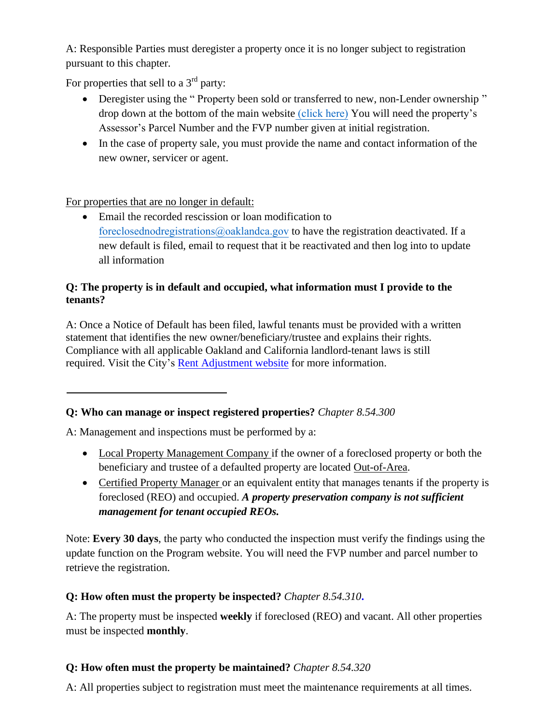A: Responsible Parties must deregister a property once it is no longer subject to registration pursuant to this chapter.

For properties that sell to a  $3<sup>rd</sup>$  party:

- Deregister using the "Property been sold or transferred to new, non-Lender ownership" drop down at the bottom of the main website [\(click here\)](https://www.oaklandca.gov/services/register-foreclosed-defaulted-residential-property) You will need the property's Assessor's Parcel Number and the FVP number given at initial registration.
- In the case of property sale, you must provide the name and contact information of the new owner, servicer or agent.

For properties that are no longer in default:

• Email the recorded rescission or loan modification to [foreclosednodregistrations@oaklandca.gov](mailto:foreclosednodregistrations@oaklandca.gov) to have the registration deactivated. If a new default is filed, email to request that it be reactivated and then log into to update all information

## **Q: The property is in default and occupied, what information must I provide to the tenants?**

A: Once a Notice of Default has been filed, lawful tenants must be provided with a written statement that identifies the new owner/beneficiary/trustee and explains their rights. Compliance with all applicable Oakland and California landlord-tenant laws is still [required. Visit the City'](http://www.google.com/url?sa=t&rct=j&q&esrc=s&source=web&cd=2&cad=rja&ved=0CDYQFjAB&url=http%3A%2F%2Fwww.oaklandcityattorney.org%2FPDFS%2FGuidelines%2520Tenants%2520in%2520Foreclosed%2520Housing%25203%252012%252009.pdf&ei=JL2iUJHCFIr1iQLWpYCgDQ&usg=AFQjCNEQwdDT6xQHyonf4Zh5wk3xRq9yew&sig2=HcfNXacT5pvI2INluwSGVw)s [Rent Adjustment website fo](https://www.oaklandca.gov/topics/rent-adjustment-program)r more information.

# **Q: Who can manage or inspect registered properties?** *Chapter 8.54.300*

A: Management and inspections must be performed by a:

- Local Property Management Company if the owner of a foreclosed property or both the beneficiary and trustee of a defaulted property are located Out-of-Area.
- Certified Property Manager or an equivalent entity that manages tenants if the property is foreclosed (REO) and occupied. *A property preservation company is not sufficient management for tenant occupied REOs.*

Note: **Every 30 days**, the party who conducted the inspection must verify the findings using the update function on the Program website. You will need the FVP number and parcel number to retrieve the registration.

# **Q: How often must the property be inspected?** *Chapter 8.54.310***.**

A: The property must be inspected **weekly** if foreclosed (REO) and vacant. All other properties must be inspected **monthly**.

# **Q: How often must the property be maintained?** *Chapter 8.54.320*

A: All properties subject to registration must meet the maintenance requirements at all times.